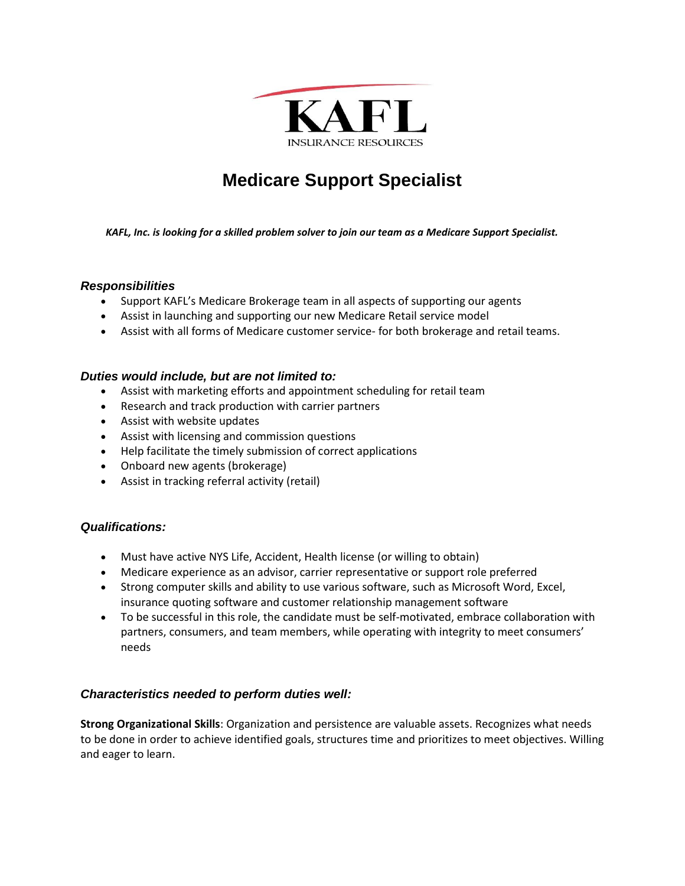

# **Medicare Support Specialist**

*KAFL, Inc. is looking for a skilled problem solver to join our team as a Medicare Support Specialist.*

### *Responsibilities*

- Support KAFL's Medicare Brokerage team in all aspects of supporting our agents
- Assist in launching and supporting our new Medicare Retail service model
- Assist with all forms of Medicare customer service- for both brokerage and retail teams.

#### *Duties would include, but are not limited to:*

- Assist with marketing efforts and appointment scheduling for retail team
- Research and track production with carrier partners
- Assist with website updates
- Assist with licensing and commission questions
- Help facilitate the timely submission of correct applications
- Onboard new agents (brokerage)
- Assist in tracking referral activity (retail)

## *Qualifications:*

- Must have active NYS Life, Accident, Health license (or willing to obtain)
- Medicare experience as an advisor, carrier representative or support role preferred
- Strong computer skills and ability to use various software, such as Microsoft Word, Excel, insurance quoting software and customer relationship management software
- To be successful in this role, the candidate must be self-motivated, embrace collaboration with partners, consumers, and team members, while operating with integrity to meet consumers' needs

#### *Characteristics needed to perform duties well:*

**Strong Organizational Skills**: Organization and persistence are valuable assets. Recognizes what needs to be done in order to achieve identified goals, structures time and prioritizes to meet objectives. Willing and eager to learn.